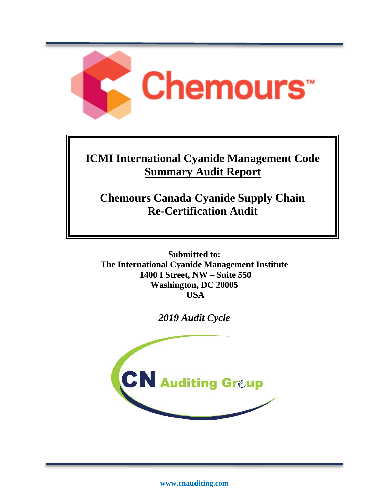

# **ICMI International Cyanide Management Code Summary Audit Report**

**Chemours Canada Cyanide Supply Chain Re-Certification Audit**

**Submitted to: The International Cyanide Management Institute 1400 I Street, NW – Suite 550 Washington, DC 20005 USA**

*2019 Audit Cycle*



**[www.cnauditing.com](http://www.mss-team.com/)**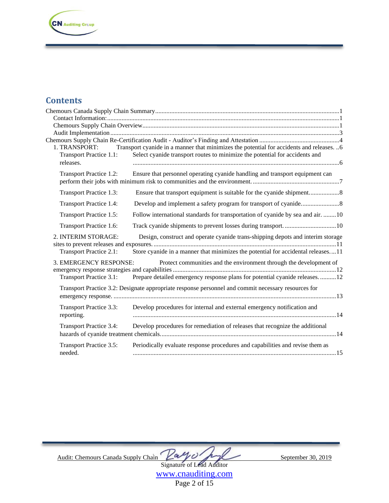**CN** Auditing Greup

### **Contents**

| 1. TRANSPORT:                  | Transport cyanide in a manner that minimizes the potential for accidents and releases. 6            |  |
|--------------------------------|-----------------------------------------------------------------------------------------------------|--|
| Transport Practice 1.1:        | Select cyanide transport routes to minimize the potential for accidents and                         |  |
| releases.                      |                                                                                                     |  |
| <b>Transport Practice 1.2:</b> | Ensure that personnel operating cyanide handling and transport equipment can                        |  |
|                                |                                                                                                     |  |
| Transport Practice 1.3:        |                                                                                                     |  |
| <b>Transport Practice 1.4:</b> |                                                                                                     |  |
| Transport Practice 1.5:        | Follow international standards for transportation of cyanide by sea and air. 10                     |  |
| Transport Practice 1.6:        | Track cyanide shipments to prevent losses during transport. 10                                      |  |
| 2. INTERIM STORAGE:            | Design, construct and operate cyanide trans-shipping depots and interim storage                     |  |
|                                |                                                                                                     |  |
| <b>Transport Practice 2.1:</b> | Store cyanide in a manner that minimizes the potential for accidental releases11                    |  |
| 3. EMERGENCY RESPONSE:         | Protect communities and the environment through the development of                                  |  |
|                                |                                                                                                     |  |
| Transport Practice 3.1:        | Prepare detailed emergency response plans for potential cyanide releases12                          |  |
|                                | Transport Practice 3.2: Designate appropriate response personnel and commit necessary resources for |  |
|                                |                                                                                                     |  |
|                                |                                                                                                     |  |
| <b>Transport Practice 3.3:</b> | Develop procedures for internal and external emergency notification and                             |  |
| reporting.                     |                                                                                                     |  |
| <b>Transport Practice 3.4:</b> | Develop procedures for remediation of releases that recognize the additional                        |  |
|                                |                                                                                                     |  |
| <b>Transport Practice 3.5:</b> | Periodically evaluate response procedures and capabilities and revise them as                       |  |
| needed.                        |                                                                                                     |  |
|                                |                                                                                                     |  |

Audit: Chemours Canada Supply Chain  $\angle a \sim \sqrt{C}$ 

Signature of Lead Auditor [www.cnauditing.com](http://www.cnauditing.com/)

Page 2 of 15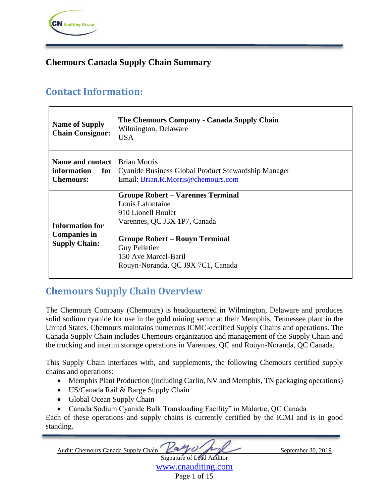

### <span id="page-2-0"></span>**Chemours Canada Supply Chain Summary**

## <span id="page-2-1"></span>**Contact Information:**

| <b>Name of Supply</b><br><b>Chain Consignor:</b>                      | The Chemours Company - Canada Supply Chain<br>Wilmington, Delaware<br><b>USA</b>                                                                                                                                                                 |
|-----------------------------------------------------------------------|--------------------------------------------------------------------------------------------------------------------------------------------------------------------------------------------------------------------------------------------------|
| Name and contact<br>information<br>for<br><b>Chemours:</b>            | <b>Brian Morris</b><br>Cyanide Business Global Product Stewardship Manager<br>Email: Brian.R.Morris@chemours.com                                                                                                                                 |
| <b>Information for</b><br><b>Companies in</b><br><b>Supply Chain:</b> | <b>Groupe Robert – Varennes Terminal</b><br>Louis Lafontaine<br>910 Lionell Boulet<br>Varennes, QC J3X 1P7, Canada<br><b>Groupe Robert – Rouyn Terminal</b><br><b>Guy Pelletier</b><br>150 Ave Marcel-Baril<br>Rouyn-Noranda, QC J9X 7C1, Canada |

## <span id="page-2-2"></span>**Chemours Supply Chain Overview**

The Chemours Company (Chemours) is headquartered in Wilmington, Delaware and produces solid sodium cyanide for use in the gold mining sector at their Memphis, Tennessee plant in the United States. Chemours maintains numerous ICMC-certified Supply Chains and operations. The Canada Supply Chain includes Chemours organization and management of the Supply Chain and the trucking and interim storage operations in Varennes, QC and Rouyn-Noranda, QC Canada.

This Supply Chain interfaces with, and supplements, the following Chemours certified supply chains and operations:

- Memphis Plant Production (including Carlin, NV and Memphis, TN packaging operations)
- US/Canada Rail & Barge Supply Chain
- Global Ocean Supply Chain
- Canada Sodium Cyanide Bulk Transloading Facility" in Malartic, QC Canada

Each of these operations and supply chains is currently certified by the ICMI and is in good standing.

Audit: Chemours Canada Supply Chain Zay of August September 30, 2019

Signature of Lead Auditor [www.cnauditing.com](http://www.cnauditing.com/) Page 1 of 15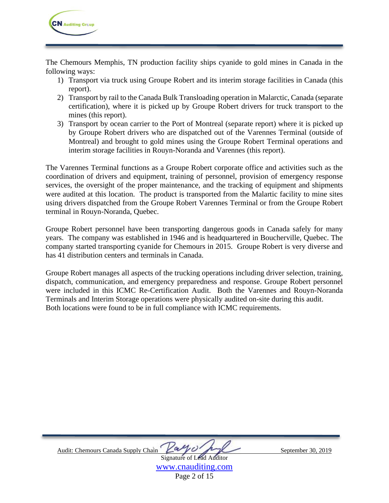

The Chemours Memphis, TN production facility ships cyanide to gold mines in Canada in the following ways:

- 1) Transport via truck using Groupe Robert and its interim storage facilities in Canada (this report).
- 2) Transport by rail to the Canada Bulk Transloading operation in Malarctic, Canada (separate certification), where it is picked up by Groupe Robert drivers for truck transport to the mines (this report).
- 3) Transport by ocean carrier to the Port of Montreal (separate report) where it is picked up by Groupe Robert drivers who are dispatched out of the Varennes Terminal (outside of Montreal) and brought to gold mines using the Groupe Robert Terminal operations and interim storage facilities in Rouyn-Noranda and Varennes (this report).

The Varennes Terminal functions as a Groupe Robert corporate office and activities such as the coordination of drivers and equipment, training of personnel, provision of emergency response services, the oversight of the proper maintenance, and the tracking of equipment and shipments were audited at this location. The product is transported from the Malartic facility to mine sites using drivers dispatched from the Groupe Robert Varennes Terminal or from the Groupe Robert terminal in Rouyn-Noranda, Quebec.

Groupe Robert personnel have been transporting dangerous goods in Canada safely for many years. The company was established in 1946 and is headquartered in Boucherville, Quebec. The company started transporting cyanide for Chemours in 2015. Groupe Robert is very diverse and has 41 distribution centers and terminals in Canada.

Groupe Robert manages all aspects of the trucking operations including driver selection, training, dispatch, communication, and emergency preparedness and response. Groupe Robert personnel were included in this ICMC Re-Certification Audit. Both the Varennes and Rouyn-Noranda Terminals and Interim Storage operations were physically audited on-site during this audit. Both locations were found to be in full compliance with ICMC requirements.



[www.cnauditing.com](http://www.cnauditing.com/) Page 2 of 15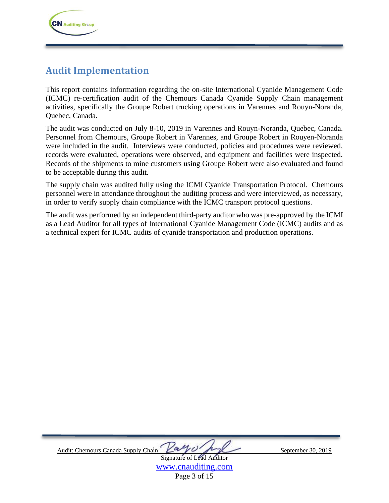## <span id="page-4-0"></span>**Audit Implementation**

This report contains information regarding the on-site International Cyanide Management Code (ICMC) re-certification audit of the Chemours Canada Cyanide Supply Chain management activities, specifically the Groupe Robert trucking operations in Varennes and Rouyn-Noranda, Quebec, Canada.

The audit was conducted on July 8-10, 2019 in Varennes and Rouyn-Noranda, Quebec, Canada. Personnel from Chemours, Groupe Robert in Varennes, and Groupe Robert in Rouyen-Noranda were included in the audit. Interviews were conducted, policies and procedures were reviewed, records were evaluated, operations were observed, and equipment and facilities were inspected. Records of the shipments to mine customers using Groupe Robert were also evaluated and found to be acceptable during this audit.

The supply chain was audited fully using the ICMI Cyanide Transportation Protocol. Chemours personnel were in attendance throughout the auditing process and were interviewed, as necessary, in order to verify supply chain compliance with the ICMC transport protocol questions.

The audit was performed by an independent third-party auditor who was pre-approved by the ICMI as a Lead Auditor for all types of International Cyanide Management Code (ICMC) audits and as a technical expert for ICMC audits of cyanide transportation and production operations.



[www.cnauditing.com](http://www.cnauditing.com/) Page 3 of 15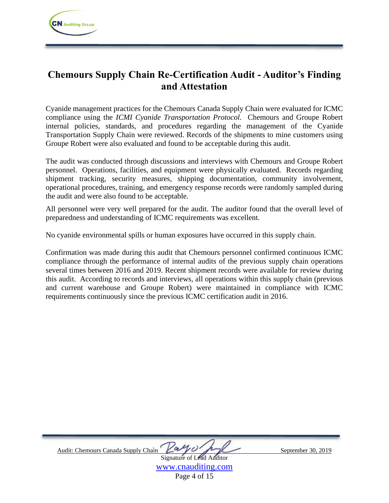## <span id="page-5-0"></span>**Chemours Supply Chain Re-Certification Audit - Auditor's Finding and Attestation**

Cyanide management practices for the Chemours Canada Supply Chain were evaluated for ICMC compliance using the *ICMI Cyanide Transportation Protocol.* Chemours and Groupe Robert internal policies, standards, and procedures regarding the management of the Cyanide Transportation Supply Chain were reviewed. Records of the shipments to mine customers using Groupe Robert were also evaluated and found to be acceptable during this audit.

The audit was conducted through discussions and interviews with Chemours and Groupe Robert personnel. Operations, facilities, and equipment were physically evaluated. Records regarding shipment tracking, security measures, shipping documentation, community involvement, operational procedures, training, and emergency response records were randomly sampled during the audit and were also found to be acceptable.

All personnel were very well prepared for the audit. The auditor found that the overall level of preparedness and understanding of ICMC requirements was excellent.

No cyanide environmental spills or human exposures have occurred in this supply chain.

Confirmation was made during this audit that Chemours personnel confirmed continuous ICMC compliance through the performance of internal audits of the previous supply chain operations several times between 2016 and 2019. Recent shipment records were available for review during this audit. According to records and interviews, all operations within this supply chain (previous and current warehouse and Groupe Robert) were maintained in compliance with ICMC requirements continuously since the previous ICMC certification audit in 2016.

Audit: Chemours Canada Supply Chain  $\begin{matrix} \Delta \ll \end{matrix}$   $\begin{matrix} \Delta \ll \end{matrix}$  September 30, 2019 Signature of Lead Auditor

[www.cnauditing.com](http://www.cnauditing.com/) Page 4 of 15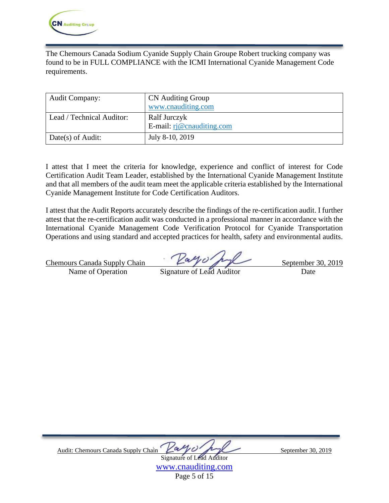

The Chemours Canada Sodium Cyanide Supply Chain Groupe Robert trucking company was found to be in FULL COMPLIANCE with the ICMI International Cyanide Management Code requirements.

| <b>Audit Company:</b>     | <b>CN</b> Auditing Group           |
|---------------------------|------------------------------------|
|                           | www.cnauditing.com                 |
| Lead / Technical Auditor: | Ralf Jurczyk                       |
|                           | E-mail: $\vec{r}$ @ cnauditing.com |
| Date(s) of Audit:         | July 8-10, 2019                    |

I attest that I meet the criteria for knowledge, experience and conflict of interest for Code Certification Audit Team Leader, established by the International Cyanide Management Institute and that all members of the audit team meet the applicable criteria established by the International Cyanide Management Institute for Code Certification Auditors.

I attest that the Audit Reports accurately describe the findings of the re-certification audit. I further attest that the re-certification audit was conducted in a professional manner in accordance with the International Cyanide Management Code Verification Protocol for Cyanide Transportation Operations and using standard and accepted practices for health, safety and environmental audits.

Chemours Canada Supply Chain  $\Box$  September 30, 2019

Name of Operation Signature of Lead Auditor Date

Audit: Chemours Canada Supply Chain  $\sqrt{a\gamma}$ Signature of Lead Auditor

[www.cnauditing.com](http://www.cnauditing.com/) Page 5 of 15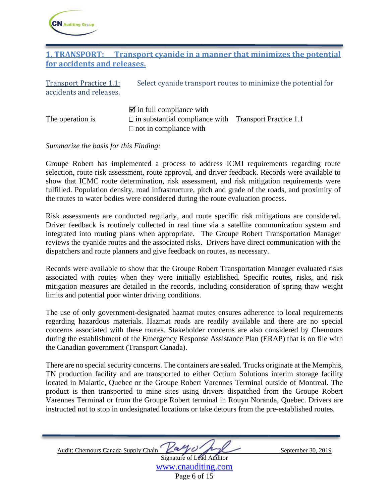

### <span id="page-7-0"></span>**1. TRANSPORT: Transport cyanide in a manner that minimizes the potential for accidents and releases.**

<span id="page-7-1"></span>

| <b>Transport Practice 1.1:</b> | Select cyanide transport routes to minimize the potential for |
|--------------------------------|---------------------------------------------------------------|
| accidents and releases.        |                                                               |
|                                |                                                               |
|                                | $\blacksquare$ in full compliance with                        |

The operation is  $\square$  in substantial compliance with Transport Practice 1.1  $\Box$  not in compliance with

*Summarize the basis for this Finding:* 

Groupe Robert has implemented a process to address ICMI requirements regarding route selection, route risk assessment, route approval, and driver feedback. Records were available to show that ICMC route determination, risk assessment, and risk mitigation requirements were fulfilled. Population density, road infrastructure, pitch and grade of the roads, and proximity of the routes to water bodies were considered during the route evaluation process.

Risk assessments are conducted regularly, and route specific risk mitigations are considered. Driver feedback is routinely collected in real time via a satellite communication system and integrated into routing plans when appropriate. The Groupe Robert Transportation Manager reviews the cyanide routes and the associated risks. Drivers have direct communication with the dispatchers and route planners and give feedback on routes, as necessary.

Records were available to show that the Groupe Robert Transportation Manager evaluated risks associated with routes when they were initially established. Specific routes, risks, and risk mitigation measures are detailed in the records, including consideration of spring thaw weight limits and potential poor winter driving conditions.

The use of only government-designated hazmat routes ensures adherence to local requirements regarding hazardous materials. Hazmat roads are readily available and there are no special concerns associated with these routes. Stakeholder concerns are also considered by Chemours during the establishment of the Emergency Response Assistance Plan (ERAP) that is on file with the Canadian government (Transport Canada).

There are no special security concerns. The containers are sealed. Trucks originate at the Memphis, TN production facility and are transported to either Octium Solutions interim storage facility located in Malartic, Quebec or the Groupe Robert Varennes Terminal outside of Montreal. The product is then transported to mine sites using drivers dispatched from the Groupe Robert Varennes Terminal or from the Groupe Robert terminal in Rouyn Noranda, Quebec. Drivers are instructed not to stop in undesignated locations or take detours from the pre-established routes.

Audit: Chemours Canada Supply Chain Zay of August September 30, 2019

Signature of Lead Auditor [www.cnauditing.com](http://www.cnauditing.com/) Page 6 of 15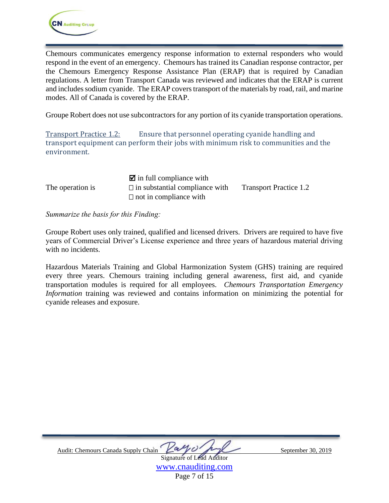Chemours communicates emergency response information to external responders who would respond in the event of an emergency. Chemours has trained its Canadian response contractor, per the Chemours Emergency Response Assistance Plan (ERAP) that is required by Canadian regulations. A letter from Transport Canada was reviewed and indicates that the ERAP is current and includes sodium cyanide. The ERAP covers transport of the materials by road, rail, and marine modes. All of Canada is covered by the ERAP.

Groupe Robert does not use subcontractors for any portion of its cyanide transportation operations.

<span id="page-8-0"></span>Transport Practice 1.2: Ensure that personnel operating cyanide handling and transport equipment can perform their jobs with minimum risk to communities and the environment.

|                  | $\blacksquare$ in full compliance with |                               |
|------------------|----------------------------------------|-------------------------------|
| The operation is | $\Box$ in substantial compliance with  | <b>Transport Practice 1.2</b> |
|                  | $\Box$ not in compliance with          |                               |

*Summarize the basis for this Finding:*

Groupe Robert uses only trained, qualified and licensed drivers. Drivers are required to have five years of Commercial Driver's License experience and three years of hazardous material driving with no incidents.

Hazardous Materials Training and Global Harmonization System (GHS) training are required every three years. Chemours training including general awareness, first aid, and cyanide transportation modules is required for all employees. *Chemours Transportation Emergency Information* training was reviewed and contains information on minimizing the potential for cyanide releases and exposure.



[www.cnauditing.com](http://www.cnauditing.com/) Page 7 of 15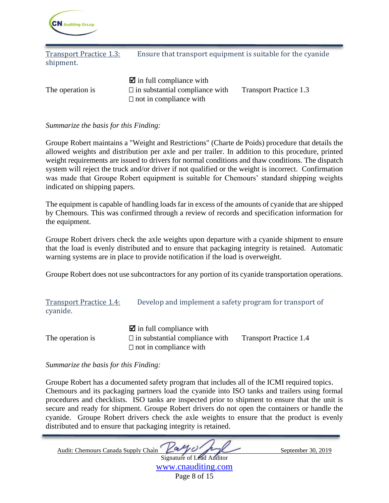

<span id="page-9-0"></span>Transport Practice 1.3: Ensure that transport equipment is suitable for the cyanide shipment.

 $\overline{\mathbf{z}}$  in full compliance with The operation is  $\Box$  in substantial compliance with Transport Practice 1.3  $\Box$  not in compliance with

*Summarize the basis for this Finding:* 

Groupe Robert maintains a "Weight and Restrictions" (Charte de Poids) procedure that details the allowed weights and distribution per axle and per trailer. In addition to this procedure, printed weight requirements are issued to drivers for normal conditions and thaw conditions. The dispatch system will reject the truck and/or driver if not qualified or the weight is incorrect. Confirmation was made that Groupe Robert equipment is suitable for Chemours' standard shipping weights indicated on shipping papers.

The equipment is capable of handling loads far in excess of the amounts of cyanide that are shipped by Chemours. This was confirmed through a review of records and specification information for the equipment.

Groupe Robert drivers check the axle weights upon departure with a cyanide shipment to ensure that the load is evenly distributed and to ensure that packaging integrity is retained. Automatic warning systems are in place to provide notification if the load is overweight.

Groupe Robert does not use subcontractors for any portion of its cyanide transportation operations.

<span id="page-9-1"></span>

| <b>Transport Practice 1.4:</b> | Develop and implement a safety program for transport of |
|--------------------------------|---------------------------------------------------------|
| cyanide.                       |                                                         |

|                  | $\blacksquare$ in full compliance with |                               |
|------------------|----------------------------------------|-------------------------------|
| The operation is | $\Box$ in substantial compliance with  | <b>Transport Practice 1.4</b> |
|                  | $\Box$ not in compliance with          |                               |

*Summarize the basis for this Finding:* 

Groupe Robert has a documented safety program that includes all of the ICMI required topics. Chemours and its packaging partners load the cyanide into ISO tanks and trailers using formal procedures and checklists. ISO tanks are inspected prior to shipment to ensure that the unit is secure and ready for shipment. Groupe Robert drivers do not open the containers or handle the cyanide. Groupe Robert drivers check the axle weights to ensure that the product is evenly distributed and to ensure that packaging integrity is retained.

Audit: Chemours Canada Supply Chain  $\begin{picture}(180,170)(-8.00) \put(0,0){\line(1,0){10}} \put(1,0){\line(1,0){10}} \put(1,0){\line(1,0){10}} \put(1,0){\line(1,0){10}} \put(1,0){\line(1,0){10}} \put(1,0){\line(1,0){10}} \put(1,0){\line(1,0){10}} \put(1,0){\line(1,0){10}} \put(1,0){\line(1,0){10}} \put(1,0){\line(1,$ Signature of Lead Auditor

[www.cnauditing.com](http://www.cnauditing.com/) Page 8 of 15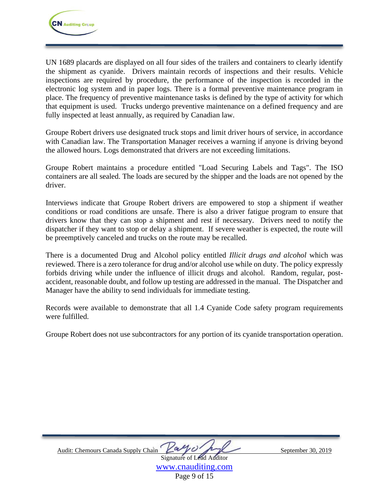UN 1689 placards are displayed on all four sides of the trailers and containers to clearly identify the shipment as cyanide. Drivers maintain records of inspections and their results. Vehicle inspections are required by procedure, the performance of the inspection is recorded in the electronic log system and in paper logs. There is a formal preventive maintenance program in place. The frequency of preventive maintenance tasks is defined by the type of activity for which that equipment is used. Trucks undergo preventive maintenance on a defined frequency and are fully inspected at least annually, as required by Canadian law.

Groupe Robert drivers use designated truck stops and limit driver hours of service, in accordance with Canadian law. The Transportation Manager receives a warning if anyone is driving beyond the allowed hours. Logs demonstrated that drivers are not exceeding limitations.

Groupe Robert maintains a procedure entitled "Load Securing Labels and Tags". The ISO containers are all sealed. The loads are secured by the shipper and the loads are not opened by the driver.

Interviews indicate that Groupe Robert drivers are empowered to stop a shipment if weather conditions or road conditions are unsafe. There is also a driver fatigue program to ensure that drivers know that they can stop a shipment and rest if necessary. Drivers need to notify the dispatcher if they want to stop or delay a shipment. If severe weather is expected, the route will be preemptively canceled and trucks on the route may be recalled.

There is a documented Drug and Alcohol policy entitled *Illicit drugs and alcohol* which was reviewed. There is a zero tolerance for drug and/or alcohol use while on duty. The policy expressly forbids driving while under the influence of illicit drugs and alcohol. Random, regular, postaccident, reasonable doubt, and follow up testing are addressed in the manual. The Dispatcher and Manager have the ability to send individuals for immediate testing.

Records were available to demonstrate that all 1.4 Cyanide Code safety program requirements were fulfilled.

Groupe Robert does not use subcontractors for any portion of its cyanide transportation operation.

| Audit: Chemours Canada Supply Chain | allist h                         |
|-------------------------------------|----------------------------------|
|                                     | <b>Signature of Lead Auditor</b> |

September 30, 2019

[www.cnauditing.com](http://www.cnauditing.com/) Page 9 of 15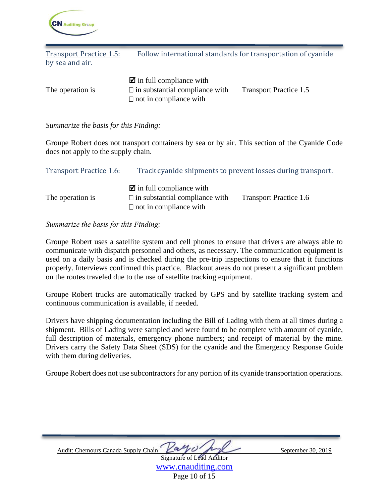

<span id="page-11-0"></span>Transport Practice 1.5: Follow international standards for transportation of cyanide by sea and air.  $\boxtimes$  in full compliance with

|                  | $\blacksquare$ in full compliance with |                               |
|------------------|----------------------------------------|-------------------------------|
| The operation is | $\Box$ in substantial compliance with  | <b>Transport Practice 1.5</b> |
|                  | $\Box$ not in compliance with          |                               |

*Summarize the basis for this Finding:* 

Groupe Robert does not transport containers by sea or by air. This section of the Cyanide Code does not apply to the supply chain.

<span id="page-11-1"></span>

| <b>Transport Practice 1.6:</b> | Track cyanide shipments to prevent losses during transport.                                                      |                               |  |
|--------------------------------|------------------------------------------------------------------------------------------------------------------|-------------------------------|--|
| The operation is               | $\blacksquare$ in full compliance with<br>$\Box$ in substantial compliance with<br>$\Box$ not in compliance with | <b>Transport Practice 1.6</b> |  |

#### *Summarize the basis for this Finding:*

Groupe Robert uses a satellite system and cell phones to ensure that drivers are always able to communicate with dispatch personnel and others, as necessary. The communication equipment is used on a daily basis and is checked during the pre-trip inspections to ensure that it functions properly. Interviews confirmed this practice. Blackout areas do not present a significant problem on the routes traveled due to the use of satellite tracking equipment.

Groupe Robert trucks are automatically tracked by GPS and by satellite tracking system and continuous communication is available, if needed.

Drivers have shipping documentation including the Bill of Lading with them at all times during a shipment. Bills of Lading were sampled and were found to be complete with amount of cyanide, full description of materials, emergency phone numbers; and receipt of material by the mine. Drivers carry the Safety Data Sheet (SDS) for the cyanide and the Emergency Response Guide with them during deliveries.

Groupe Robert does not use subcontractors for any portion of its cyanide transportation operations.

| Audit: Chemours Canada Supply Chain Lay 01 por | September 30, 2019 |
|------------------------------------------------|--------------------|
| <b>Signature of Lead Auditor</b>               |                    |
|                                                |                    |

[www.cnauditing.com](http://www.cnauditing.com/) Page 10 of 15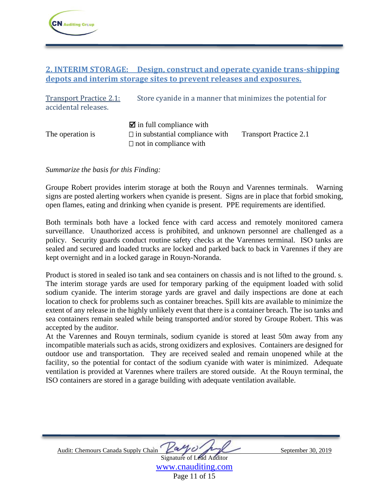### <span id="page-12-0"></span>**2. INTERIM STORAGE: Design, construct and operate cyanide trans-shipping depots and interim storage sites to prevent releases and exposures.**

<span id="page-12-1"></span>Transport Practice 2.1: Store cyanide in a manner that minimizes the potential for accidental releases.  $\blacksquare$  in full compliance with The operation is  $\Box$  in substantial compliance with Transport Practice 2.1  $\Box$  not in compliance with

*Summarize the basis for this Finding:* 

Groupe Robert provides interim storage at both the Rouyn and Varennes terminals. Warning signs are posted alerting workers when cyanide is present. Signs are in place that forbid smoking, open flames, eating and drinking when cyanide is present. PPE requirements are identified.

Both terminals both have a locked fence with card access and remotely monitored camera surveillance. Unauthorized access is prohibited, and unknown personnel are challenged as a policy. Security guards conduct routine safety checks at the Varennes terminal. ISO tanks are sealed and secured and loaded trucks are locked and parked back to back in Varennes if they are kept overnight and in a locked garage in Rouyn-Noranda.

Product is stored in sealed iso tank and sea containers on chassis and is not lifted to the ground. s. The interim storage yards are used for temporary parking of the equipment loaded with solid sodium cyanide. The interim storage yards are gravel and daily inspections are done at each location to check for problems such as container breaches. Spill kits are available to minimize the extent of any release in the highly unlikely event that there is a container breach. The iso tanks and sea containers remain sealed while being transported and/or stored by Groupe Robert. This was accepted by the auditor.

At the Varennes and Rouyn terminals, sodium cyanide is stored at least 50m away from any incompatible materials such as acids, strong oxidizers and explosives. Containers are designed for outdoor use and transportation. They are received sealed and remain unopened while at the facility, so the potential for contact of the sodium cyanide with water is minimized. Adequate ventilation is provided at Varennes where trailers are stored outside. At the Rouyn terminal, the ISO containers are stored in a garage building with adequate ventilation available.

| 4/1<br>Audit: Chemours Canada Supply Chain<br>va | September 30, 2019 |
|--------------------------------------------------|--------------------|
| <b>Signature of Lead Auditor</b>                 |                    |

[www.cnauditing.com](http://www.cnauditing.com/) Page 11 of 15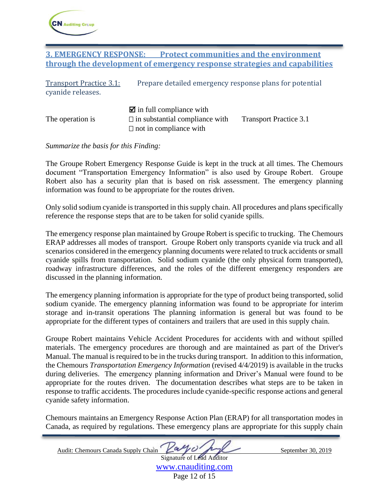

### <span id="page-13-0"></span>**3. EMERGENCY RESPONSE: Protect communities and the environment through the development of emergency response strategies and capabilities**

<span id="page-13-1"></span>

| <b>Transport Practice 3.1:</b><br>cyanide releases. | Prepare detailed emergency response plans for potential                                                          |                               |
|-----------------------------------------------------|------------------------------------------------------------------------------------------------------------------|-------------------------------|
| The operation is                                    | $\blacksquare$ in full compliance with<br>$\Box$ in substantial compliance with<br>$\Box$ not in compliance with | <b>Transport Practice 3.1</b> |

*Summarize the basis for this Finding:* 

The Groupe Robert Emergency Response Guide is kept in the truck at all times. The Chemours document "Transportation Emergency Information" is also used by Groupe Robert. Groupe Robert also has a security plan that is based on risk assessment. The emergency planning information was found to be appropriate for the routes driven.

Only solid sodium cyanide is transported in this supply chain. All procedures and plans specifically reference the response steps that are to be taken for solid cyanide spills.

The emergency response plan maintained by Groupe Robert is specific to trucking. The Chemours ERAP addresses all modes of transport. Groupe Robert only transports cyanide via truck and all scenarios considered in the emergency planning documents were related to truck accidents or small cyanide spills from transportation. Solid sodium cyanide (the only physical form transported), roadway infrastructure differences, and the roles of the different emergency responders are discussed in the planning information.

The emergency planning information is appropriate for the type of product being transported, solid sodium cyanide. The emergency planning information was found to be appropriate for interim storage and in-transit operations The planning information is general but was found to be appropriate for the different types of containers and trailers that are used in this supply chain.

Groupe Robert maintains Vehicle Accident Procedures for accidents with and without spilled materials. The emergency procedures are thorough and are maintained as part of the Driver's Manual. The manual is required to be in the trucks during transport. In addition to this information, the Chemours *Transportation Emergency Information* (revised 4/4/2019) is available in the trucks during deliveries. The emergency planning information and Driver's Manual were found to be appropriate for the routes driven. The documentation describes what steps are to be taken in response to traffic accidents. The procedures include cyanide-specific response actions and general cyanide safety information.

Chemours maintains an Emergency Response Action Plan (ERAP) for all transportation modes in Canada, as required by regulations. These emergency plans are appropriate for this supply chain

Audit: Chemours Canada Supply Chain  $\begin{picture}(180,170)(-80,0) \put(0,0){\line(1,0){10}} \put(1,0){\line(1,0){10}} \put(1,0){\line(1,0){10}} \put(1,0){\line(1,0){10}} \put(1,0){\line(1,0){10}} \put(1,0){\line(1,0){10}} \put(1,0){\line(1,0){10}} \put(1,0){\line(1,0){10}} \put(1,0){\line(1,0){10}} \put(1,0){\line(1,$ Signature of Lead Auditor

[www.cnauditing.com](http://www.cnauditing.com/) Page 12 of 15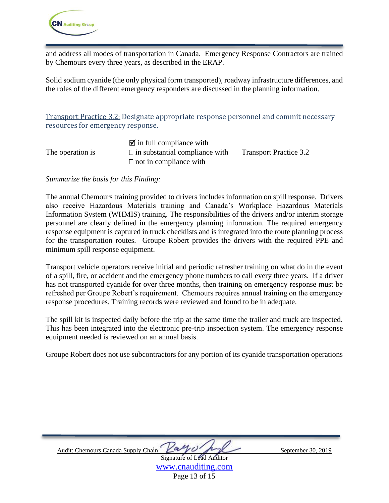

and address all modes of transportation in Canada. Emergency Response Contractors are trained by Chemours every three years, as described in the ERAP.

Solid sodium cyanide (the only physical form transported), roadway infrastructure differences, and the roles of the different emergency responders are discussed in the planning information.

<span id="page-14-0"></span>Transport Practice 3.2: Designate appropriate response personnel and commit necessary resources for emergency response.

|                  | $\blacksquare$ in full compliance with |                               |
|------------------|----------------------------------------|-------------------------------|
| The operation is | $\Box$ in substantial compliance with  | <b>Transport Practice 3.2</b> |
|                  | $\Box$ not in compliance with          |                               |

#### *Summarize the basis for this Finding:*

The annual Chemours training provided to drivers includes information on spill response. Drivers also receive Hazardous Materials training and Canada's Workplace Hazardous Materials Information System (WHMIS) training. The responsibilities of the drivers and/or interim storage personnel are clearly defined in the emergency planning information. The required emergency response equipment is captured in truck checklists and is integrated into the route planning process for the transportation routes. Groupe Robert provides the drivers with the required PPE and minimum spill response equipment.

Transport vehicle operators receive initial and periodic refresher training on what do in the event of a spill, fire, or accident and the emergency phone numbers to call every three years. If a driver has not transported cyanide for over three months, then training on emergency response must be refreshed per Groupe Robert's requirement. Chemours requires annual training on the emergency response procedures. Training records were reviewed and found to be in adequate.

The spill kit is inspected daily before the trip at the same time the trailer and truck are inspected. This has been integrated into the electronic pre-trip inspection system. The emergency response equipment needed is reviewed on an annual basis.

Groupe Robert does not use subcontractors for any portion of its cyanide transportation operations

| Audit: Chemours Canada Supply Chain Latte V |                                  | September 30, 2019 |
|---------------------------------------------|----------------------------------|--------------------|
|                                             | <b>Signature of Lead Auditor</b> |                    |

[www.cnauditing.com](http://www.cnauditing.com/) Page 13 of 15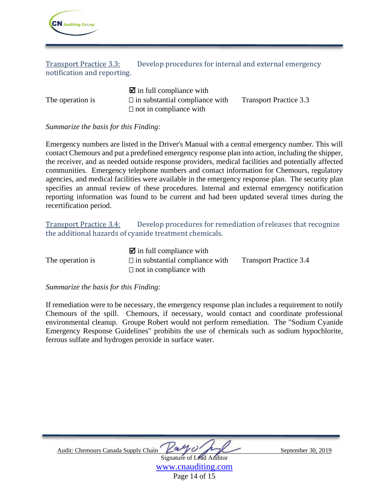

<span id="page-15-0"></span>Transport Practice 3.3: Develop procedures for internal and external emergency notification and reporting.

|                  | $\blacksquare$ in full compliance with |                               |
|------------------|----------------------------------------|-------------------------------|
| The operation is | $\Box$ in substantial compliance with  | <b>Transport Practice 3.3</b> |
|                  | $\Box$ not in compliance with          |                               |

### *Summarize the basis for this Finding:*

Emergency numbers are listed in the Driver's Manual with a central emergency number. This will contact Chemours and put a predefined emergency response plan into action, including the shipper, the receiver, and as needed outside response providers, medical facilities and potentially affected communities. Emergency telephone numbers and contact information for Chemours, regulatory agencies, and medical facilities were available in the emergency response plan. The security plan specifies an annual review of these procedures. Internal and external emergency notification reporting information was found to be current and had been updated several times during the recertification period.

<span id="page-15-1"></span>Transport Practice 3.4: Develop procedures for remediation of releases that recognize the additional hazards of cyanide treatment chemicals.

|                  | $\blacksquare$ in full compliance with |                               |
|------------------|----------------------------------------|-------------------------------|
| The operation is | $\Box$ in substantial compliance with  | <b>Transport Practice 3.4</b> |
|                  | $\Box$ not in compliance with          |                               |

#### *Summarize the basis for this Finding:*

If remediation were to be necessary, the emergency response plan includes a requirement to notify Chemours of the spill. Chemours, if necessary, would contact and coordinate professional environmental cleanup. Groupe Robert would not perform remediation. The "Sodium Cyanide Emergency Response Guidelines" prohibits the use of chemicals such as sodium hypochlorite, ferrous sulfate and hydrogen peroxide in surface water.

| Audit: Chemours Canada Supply Chain |                                  | September 30, 2019 |
|-------------------------------------|----------------------------------|--------------------|
|                                     | <b>Signature of Lead Auditor</b> |                    |

[www.cnauditing.com](http://www.cnauditing.com/) Page 14 of 15